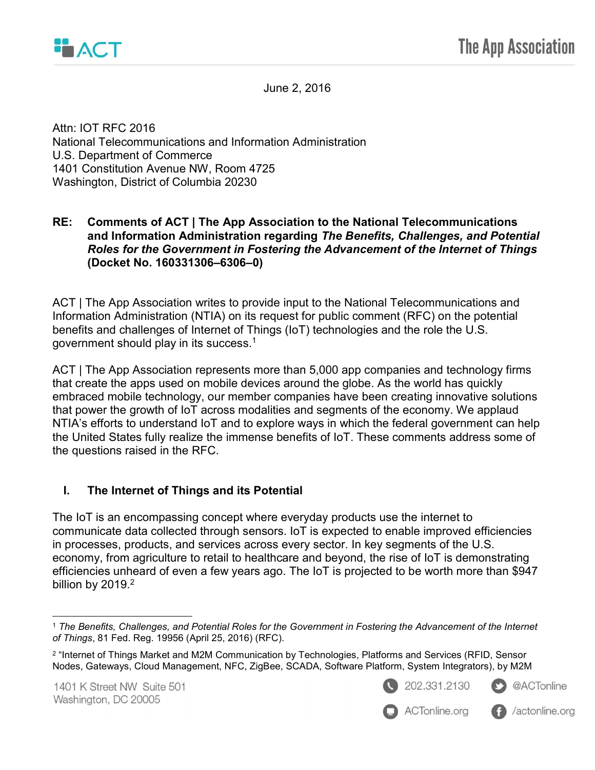

June 2, 2016

Attn: IOT RFC 2016 National Telecommunications and Information Administration U.S. Department of Commerce 1401 Constitution Avenue NW, Room 4725 Washington, District of Columbia 20230

#### RE: Comments of ACT | The App Association to the National Telecommunications and Information Administration regarding The Benefits, Challenges, and Potential Roles for the Government in Fostering the Advancement of the Internet of Things (Docket No. 160331306–6306–0)

ACT | The App Association writes to provide input to the National Telecommunications and Information Administration (NTIA) on its request for public comment (RFC) on the potential benefits and challenges of Internet of Things (IoT) technologies and the role the U.S. government should play in its success. $^{\rm 1}$ 

ACT | The App Association represents more than 5,000 app companies and technology firms that create the apps used on mobile devices around the globe. As the world has quickly embraced mobile technology, our member companies have been creating innovative solutions that power the growth of IoT across modalities and segments of the economy. We applaud NTIA's efforts to understand IoT and to explore ways in which the federal government can help the United States fully realize the immense benefits of IoT. These comments address some of the questions raised in the RFC.

#### I. The Internet of Things and its Potential

The IoT is an encompassing concept where everyday products use the internet to communicate data collected through sensors. IoT is expected to enable improved efficiencies in processes, products, and services across every sector. In key segments of the U.S. economy, from agriculture to retail to healthcare and beyond, the rise of IoT is demonstrating efficiencies unheard of even a few years ago. The IoT is projected to be worth more than \$947 billion by 2019. $^2$ 









 $\overline{a}$ <sup>1</sup> The Benefits, Challenges, and Potential Roles for the Government in Fostering the Advancement of the Internet of Things, 81 Fed. Reg. 19956 (April 25, 2016) (RFC).

<sup>2</sup> "Internet of Things Market and M2M Communication by Technologies, Platforms and Services (RFID, Sensor Nodes, Gateways, Cloud Management, NFC, ZigBee, SCADA, Software Platform, System Integrators), by M2M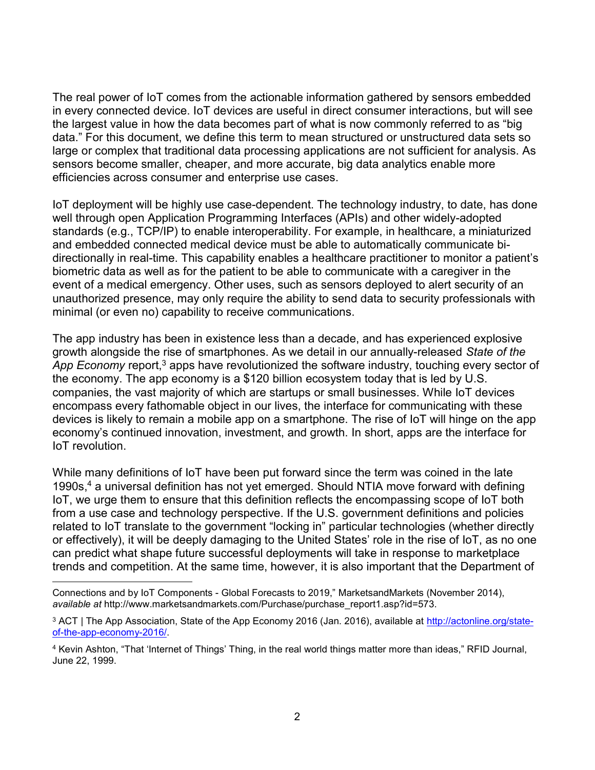The real power of IoT comes from the actionable information gathered by sensors embedded in every connected device. IoT devices are useful in direct consumer interactions, but will see the largest value in how the data becomes part of what is now commonly referred to as "big data." For this document, we define this term to mean structured or unstructured data sets so large or complex that traditional data processing applications are not sufficient for analysis. As sensors become smaller, cheaper, and more accurate, big data analytics enable more efficiencies across consumer and enterprise use cases.

IoT deployment will be highly use case-dependent. The technology industry, to date, has done well through open Application Programming Interfaces (APIs) and other widely-adopted standards (e.g., TCP/IP) to enable interoperability. For example, in healthcare, a miniaturized and embedded connected medical device must be able to automatically communicate bidirectionally in real-time. This capability enables a healthcare practitioner to monitor a patient's biometric data as well as for the patient to be able to communicate with a caregiver in the event of a medical emergency. Other uses, such as sensors deployed to alert security of an unauthorized presence, may only require the ability to send data to security professionals with minimal (or even no) capability to receive communications.

The app industry has been in existence less than a decade, and has experienced explosive growth alongside the rise of smartphones. As we detail in our annually-released State of the App Economy report,<sup>3</sup> apps have revolutionized the software industry, touching every sector of the economy. The app economy is a \$120 billion ecosystem today that is led by U.S. companies, the vast majority of which are startups or small businesses. While IoT devices encompass every fathomable object in our lives, the interface for communicating with these devices is likely to remain a mobile app on a smartphone. The rise of IoT will hinge on the app economy's continued innovation, investment, and growth. In short, apps are the interface for IoT revolution.

While many definitions of IoT have been put forward since the term was coined in the late 1990s,<sup>4</sup> a universal definition has not yet emerged. Should NTIA move forward with defining IoT, we urge them to ensure that this definition reflects the encompassing scope of IoT both from a use case and technology perspective. If the U.S. government definitions and policies related to IoT translate to the government "locking in" particular technologies (whether directly or effectively), it will be deeply damaging to the United States' role in the rise of IoT, as no one can predict what shape future successful deployments will take in response to marketplace trends and competition. At the same time, however, it is also important that the Department of

 $\overline{a}$ 

Connections and by IoT Components - Global Forecasts to 2019," MarketsandMarkets (November 2014), available at http://www.marketsandmarkets.com/Purchase/purchase\_report1.asp?id=573.

<sup>&</sup>lt;sup>3</sup> ACT | The App Association, State of the App Economy 2016 (Jan. 2016), available at <u>http://actonline.org/state-</u> of-the-app-economy-2016/.

<sup>4</sup> Kevin Ashton, "That 'Internet of Things' Thing, in the real world things matter more than ideas," RFID Journal, June 22, 1999.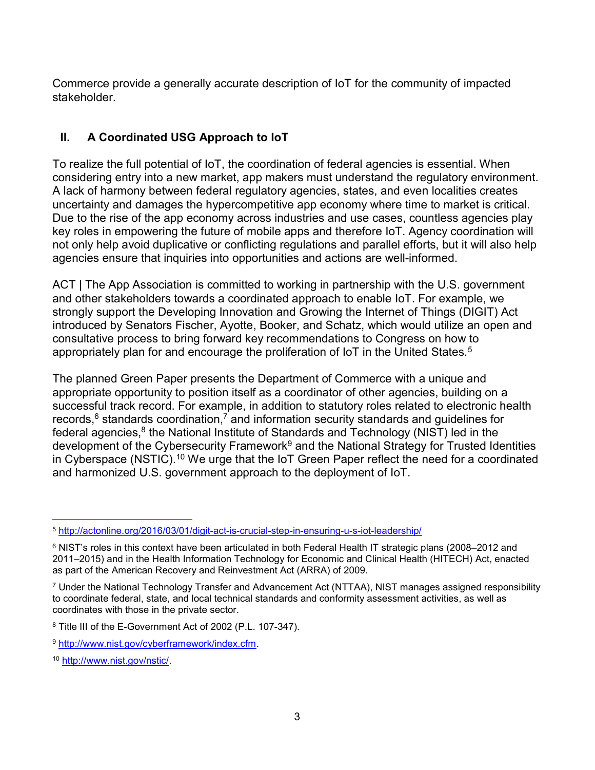Commerce provide a generally accurate description of IoT for the community of impacted stakeholder.

# II. A Coordinated USG Approach to IoT

To realize the full potential of IoT, the coordination of federal agencies is essential. When considering entry into a new market, app makers must understand the regulatory environment. A lack of harmony between federal regulatory agencies, states, and even localities creates uncertainty and damages the hypercompetitive app economy where time to market is critical. Due to the rise of the app economy across industries and use cases, countless agencies play key roles in empowering the future of mobile apps and therefore IoT. Agency coordination will not only help avoid duplicative or conflicting regulations and parallel efforts, but it will also help agencies ensure that inquiries into opportunities and actions are well-informed.

ACT | The App Association is committed to working in partnership with the U.S. government and other stakeholders towards a coordinated approach to enable IoT. For example, we strongly support the Developing Innovation and Growing the Internet of Things (DIGIT) Act introduced by Senators Fischer, Ayotte, Booker, and Schatz, which would utilize an open and consultative process to bring forward key recommendations to Congress on how to appropriately plan for and encourage the proliferation of IoT in the United States.<sup>5</sup>

The planned Green Paper presents the Department of Commerce with a unique and appropriate opportunity to position itself as a coordinator of other agencies, building on a successful track record. For example, in addition to statutory roles related to electronic health records, $^6$  standards coordination, $^7$  and information security standards and guidelines for federal agencies,<sup>8</sup> the National Institute of Standards and Technology (NIST) led in the development of the Cybersecurity Framework<sup>9</sup> and the National Strategy for Trusted Identities in Cyberspace (NSTIC).<sup>10</sup> We urge that the IoT Green Paper reflect the need for a coordinated and harmonized U.S. government approach to the deployment of IoT.

 $\overline{a}$ <sup>5</sup> http://actonline.org/2016/03/01/digit-act-is-crucial-step-in-ensuring-u-s-iot-leadership/

 $^6$  NIST's roles in this context have been articulated in both Federal Health IT strategic plans (2008–2012 and 2011–2015) and in the Health Information Technology for Economic and Clinical Health (HITECH) Act, enacted as part of the American Recovery and Reinvestment Act (ARRA) of 2009.

<sup>7</sup> Under the National Technology Transfer and Advancement Act (NTTAA), NIST manages assigned responsibility to coordinate federal, state, and local technical standards and conformity assessment activities, as well as coordinates with those in the private sector.

<sup>8</sup> Title III of the E-Government Act of 2002 (P.L. 107-347).

<sup>9</sup> http://www.nist.gov/cyberframework/index.cfm.

<sup>10</sup> http://www.nist.gov/nstic/.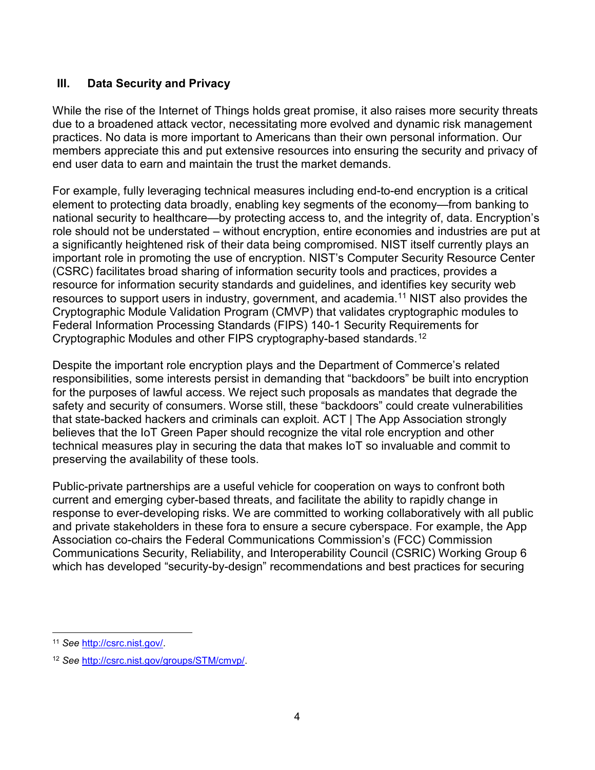#### III. Data Security and Privacy

While the rise of the Internet of Things holds great promise, it also raises more security threats due to a broadened attack vector, necessitating more evolved and dynamic risk management practices. No data is more important to Americans than their own personal information. Our members appreciate this and put extensive resources into ensuring the security and privacy of end user data to earn and maintain the trust the market demands.

For example, fully leveraging technical measures including end-to-end encryption is a critical element to protecting data broadly, enabling key segments of the economy—from banking to national security to healthcare—by protecting access to, and the integrity of, data. Encryption's role should not be understated – without encryption, entire economies and industries are put at a significantly heightened risk of their data being compromised. NIST itself currently plays an important role in promoting the use of encryption. NIST's Computer Security Resource Center (CSRC) facilitates broad sharing of information security tools and practices, provides a resource for information security standards and guidelines, and identifies key security web resources to support users in industry, government, and academia.<sup>11</sup> NIST also provides the Cryptographic Module Validation Program (CMVP) that validates cryptographic modules to Federal Information Processing Standards (FIPS) 140-1 Security Requirements for Cryptographic Modules and other FIPS cryptography-based standards.<sup>12</sup>

Despite the important role encryption plays and the Department of Commerce's related responsibilities, some interests persist in demanding that "backdoors" be built into encryption for the purposes of lawful access. We reject such proposals as mandates that degrade the safety and security of consumers. Worse still, these "backdoors" could create vulnerabilities that state-backed hackers and criminals can exploit. ACT | The App Association strongly believes that the IoT Green Paper should recognize the vital role encryption and other technical measures play in securing the data that makes IoT so invaluable and commit to preserving the availability of these tools.

Public-private partnerships are a useful vehicle for cooperation on ways to confront both current and emerging cyber-based threats, and facilitate the ability to rapidly change in response to ever-developing risks. We are committed to working collaboratively with all public and private stakeholders in these fora to ensure a secure cyberspace. For example, the App Association co-chairs the Federal Communications Commission's (FCC) Commission Communications Security, Reliability, and Interoperability Council (CSRIC) Working Group 6 which has developed "security-by-design" recommendations and best practices for securing

 $\overline{a}$ <sup>11</sup> See http://csrc.nist.gov/.

<sup>12</sup> See http://csrc.nist.gov/groups/STM/cmvp/.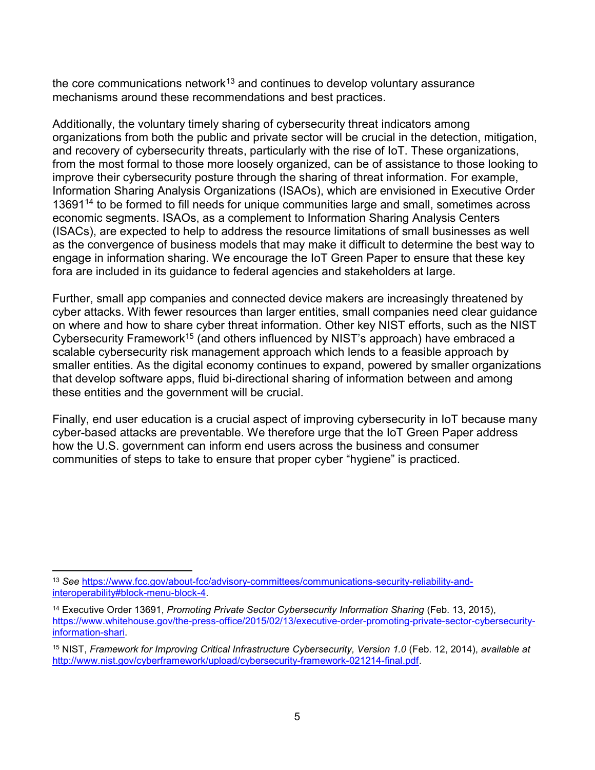the core communications network<sup>13</sup> and continues to develop voluntary assurance mechanisms around these recommendations and best practices.

Additionally, the voluntary timely sharing of cybersecurity threat indicators among organizations from both the public and private sector will be crucial in the detection, mitigation, and recovery of cybersecurity threats, particularly with the rise of IoT. These organizations, from the most formal to those more loosely organized, can be of assistance to those looking to improve their cybersecurity posture through the sharing of threat information. For example, Information Sharing Analysis Organizations (ISAOs), which are envisioned in Executive Order 13691<sup>14</sup> to be formed to fill needs for unique communities large and small, sometimes across economic segments. ISAOs, as a complement to Information Sharing Analysis Centers (ISACs), are expected to help to address the resource limitations of small businesses as well as the convergence of business models that may make it difficult to determine the best way to engage in information sharing. We encourage the IoT Green Paper to ensure that these key fora are included in its guidance to federal agencies and stakeholders at large.

Further, small app companies and connected device makers are increasingly threatened by cyber attacks. With fewer resources than larger entities, small companies need clear guidance on where and how to share cyber threat information. Other key NIST efforts, such as the NIST Cybersecurity Framework<sup>15</sup> (and others influenced by NIST's approach) have embraced a scalable cybersecurity risk management approach which lends to a feasible approach by smaller entities. As the digital economy continues to expand, powered by smaller organizations that develop software apps, fluid bi-directional sharing of information between and among these entities and the government will be crucial.

Finally, end user education is a crucial aspect of improving cybersecurity in IoT because many cyber-based attacks are preventable. We therefore urge that the IoT Green Paper address how the U.S. government can inform end users across the business and consumer communities of steps to take to ensure that proper cyber "hygiene" is practiced.

 $\overline{a}$ <sup>13</sup> See https://www.fcc.gov/about-fcc/advisory-committees/communications-security-reliability-andinteroperability#block-menu-block-4.

<sup>&</sup>lt;sup>14</sup> Executive Order 13691, Promoting Private Sector Cybersecurity Information Sharing (Feb. 13, 2015), https://www.whitehouse.gov/the-press-office/2015/02/13/executive-order-promoting-private-sector-cybersecurityinformation-shari.

<sup>&</sup>lt;sup>15</sup> NIST, Framework for Improving Critical Infrastructure Cybersecurity, Version 1.0 (Feb. 12, 2014), available at http://www.nist.gov/cyberframework/upload/cybersecurity-framework-021214-final.pdf.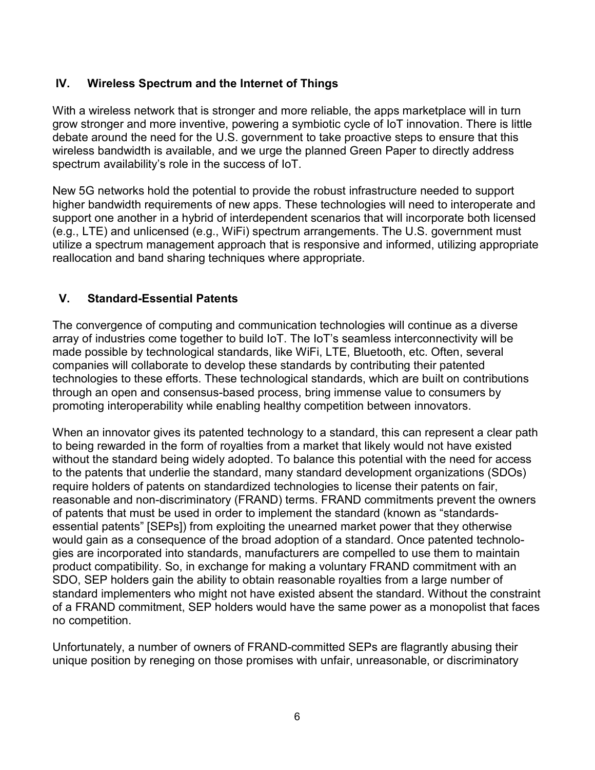## IV. Wireless Spectrum and the Internet of Things

With a wireless network that is stronger and more reliable, the apps marketplace will in turn grow stronger and more inventive, powering a symbiotic cycle of IoT innovation. There is little debate around the need for the U.S. government to take proactive steps to ensure that this wireless bandwidth is available, and we urge the planned Green Paper to directly address spectrum availability's role in the success of IoT.

New 5G networks hold the potential to provide the robust infrastructure needed to support higher bandwidth requirements of new apps. These technologies will need to interoperate and support one another in a hybrid of interdependent scenarios that will incorporate both licensed (e.g., LTE) and unlicensed (e.g., WiFi) spectrum arrangements. The U.S. government must utilize a spectrum management approach that is responsive and informed, utilizing appropriate reallocation and band sharing techniques where appropriate.

## V. Standard-Essential Patents

The convergence of computing and communication technologies will continue as a diverse array of industries come together to build IoT. The IoT's seamless interconnectivity will be made possible by technological standards, like WiFi, LTE, Bluetooth, etc. Often, several companies will collaborate to develop these standards by contributing their patented technologies to these efforts. These technological standards, which are built on contributions through an open and consensus-based process, bring immense value to consumers by promoting interoperability while enabling healthy competition between innovators.

When an innovator gives its patented technology to a standard, this can represent a clear path to being rewarded in the form of royalties from a market that likely would not have existed without the standard being widely adopted. To balance this potential with the need for access to the patents that underlie the standard, many standard development organizations (SDOs) require holders of patents on standardized technologies to license their patents on fair, reasonable and non-discriminatory (FRAND) terms. FRAND commitments prevent the owners of patents that must be used in order to implement the standard (known as "standardsessential patents" [SEPs]) from exploiting the unearned market power that they otherwise would gain as a consequence of the broad adoption of a standard. Once patented technologies are incorporated into standards, manufacturers are compelled to use them to maintain product compatibility. So, in exchange for making a voluntary FRAND commitment with an SDO, SEP holders gain the ability to obtain reasonable royalties from a large number of standard implementers who might not have existed absent the standard. Without the constraint of a FRAND commitment, SEP holders would have the same power as a monopolist that faces no competition.

Unfortunately, a number of owners of FRAND-committed SEPs are flagrantly abusing their unique position by reneging on those promises with unfair, unreasonable, or discriminatory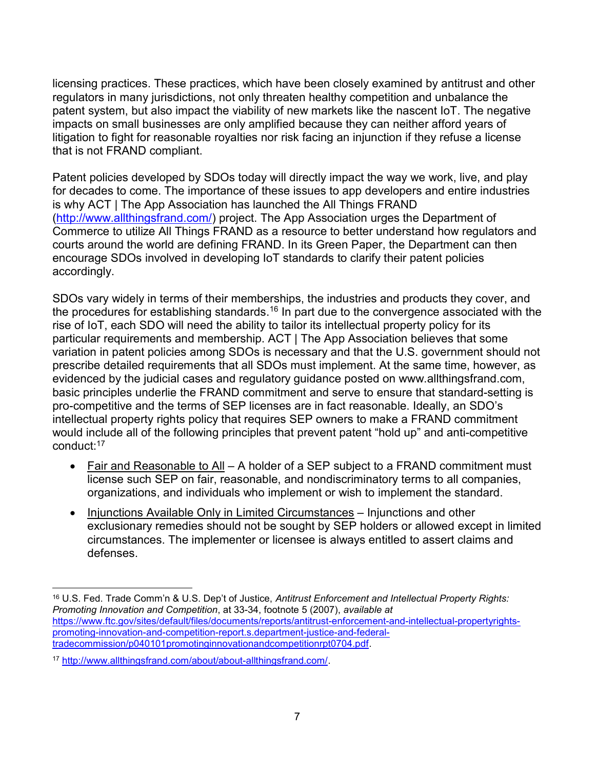licensing practices. These practices, which have been closely examined by antitrust and other regulators in many jurisdictions, not only threaten healthy competition and unbalance the patent system, but also impact the viability of new markets like the nascent IoT. The negative impacts on small businesses are only amplified because they can neither afford years of litigation to fight for reasonable royalties nor risk facing an injunction if they refuse a license that is not FRAND compliant.

Patent policies developed by SDOs today will directly impact the way we work, live, and play for decades to come. The importance of these issues to app developers and entire industries is why ACT | The App Association has launched the All Things FRAND (http://www.allthingsfrand.com/) project. The App Association urges the Department of Commerce to utilize All Things FRAND as a resource to better understand how regulators and courts around the world are defining FRAND. In its Green Paper, the Department can then encourage SDOs involved in developing IoT standards to clarify their patent policies accordingly.

SDOs vary widely in terms of their memberships, the industries and products they cover, and the procedures for establishing standards.<sup>16</sup> In part due to the convergence associated with the rise of IoT, each SDO will need the ability to tailor its intellectual property policy for its particular requirements and membership. ACT | The App Association believes that some variation in patent policies among SDOs is necessary and that the U.S. government should not prescribe detailed requirements that all SDOs must implement. At the same time, however, as evidenced by the judicial cases and regulatory guidance posted on www.allthingsfrand.com, basic principles underlie the FRAND commitment and serve to ensure that standard-setting is pro-competitive and the terms of SEP licenses are in fact reasonable. Ideally, an SDO's intellectual property rights policy that requires SEP owners to make a FRAND commitment would include all of the following principles that prevent patent "hold up" and anti-competitive conduct:<sup>17</sup>

- Fair and Reasonable to All A holder of a SEP subject to a FRAND commitment must license such SEP on fair, reasonable, and nondiscriminatory terms to all companies, organizations, and individuals who implement or wish to implement the standard.
- Injunctions Available Only in Limited Circumstances Injunctions and other exclusionary remedies should not be sought by SEP holders or allowed except in limited circumstances. The implementer or licensee is always entitled to assert claims and defenses.

 $\overline{a}$ 16 U.S. Fed. Trade Comm'n & U.S. Dep't of Justice, Antitrust Enforcement and Intellectual Property Rights: Promoting Innovation and Competition, at 33-34, footnote 5 (2007), available at https://www.ftc.gov/sites/default/files/documents/reports/antitrust-enforcement-and-intellectual-propertyrightspromoting-innovation-and-competition-report.s.department-justice-and-federaltradecommission/p040101promotinginnovationandcompetitionrpt0704.pdf.

<sup>17</sup> http://www.allthingsfrand.com/about/about-allthingsfrand.com/.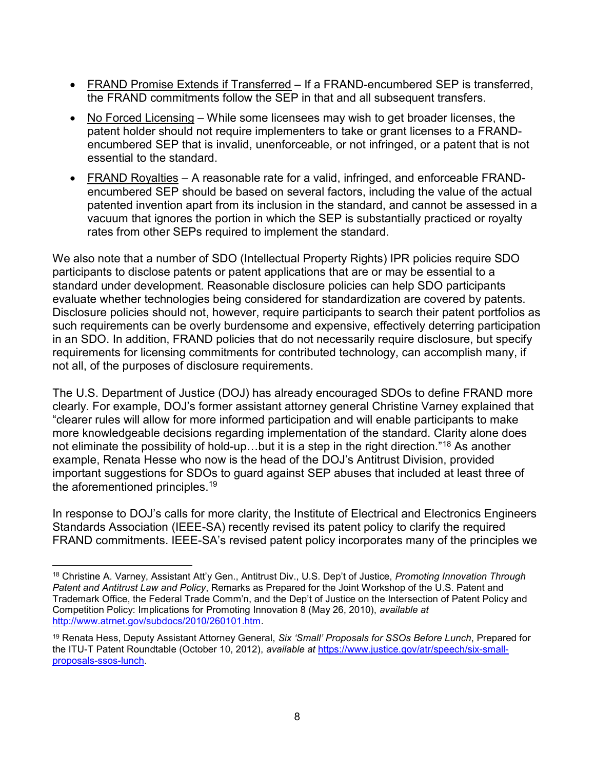- FRAND Promise Extends if Transferred If a FRAND-encumbered SEP is transferred, the FRAND commitments follow the SEP in that and all subsequent transfers.
- No Forced Licensing While some licensees may wish to get broader licenses, the patent holder should not require implementers to take or grant licenses to a FRANDencumbered SEP that is invalid, unenforceable, or not infringed, or a patent that is not essential to the standard.
- FRAND Royalties A reasonable rate for a valid, infringed, and enforceable FRANDencumbered SEP should be based on several factors, including the value of the actual patented invention apart from its inclusion in the standard, and cannot be assessed in a vacuum that ignores the portion in which the SEP is substantially practiced or royalty rates from other SEPs required to implement the standard.

We also note that a number of SDO (Intellectual Property Rights) IPR policies require SDO participants to disclose patents or patent applications that are or may be essential to a standard under development. Reasonable disclosure policies can help SDO participants evaluate whether technologies being considered for standardization are covered by patents. Disclosure policies should not, however, require participants to search their patent portfolios as such requirements can be overly burdensome and expensive, effectively deterring participation in an SDO. In addition, FRAND policies that do not necessarily require disclosure, but specify requirements for licensing commitments for contributed technology, can accomplish many, if not all, of the purposes of disclosure requirements.

The U.S. Department of Justice (DOJ) has already encouraged SDOs to define FRAND more clearly. For example, DOJ's former assistant attorney general Christine Varney explained that "clearer rules will allow for more informed participation and will enable participants to make more knowledgeable decisions regarding implementation of the standard. Clarity alone does not eliminate the possibility of hold-up...but it is a step in the right direction."<sup>18</sup> As another example, Renata Hesse who now is the head of the DOJ's Antitrust Division, provided important suggestions for SDOs to guard against SEP abuses that included at least three of the aforementioned principles.<sup>19</sup>

In response to DOJ's calls for more clarity, the Institute of Electrical and Electronics Engineers Standards Association (IEEE-SA) recently revised its patent policy to clarify the required FRAND commitments. IEEE-SA's revised patent policy incorporates many of the principles we

 $\overline{a}$ 18 Christine A. Varney, Assistant Att'y Gen., Antitrust Div., U.S. Dep't of Justice, Promoting Innovation Through Patent and Antitrust Law and Policy, Remarks as Prepared for the Joint Workshop of the U.S. Patent and Trademark Office, the Federal Trade Comm'n, and the Dep't of Justice on the Intersection of Patent Policy and Competition Policy: Implications for Promoting Innovation 8 (May 26, 2010), available at http://www.atrnet.gov/subdocs/2010/260101.htm.

<sup>&</sup>lt;sup>19</sup> Renata Hess, Deputy Assistant Attorney General, Six 'Small' Proposals for SSOs Before Lunch, Prepared for the ITU-T Patent Roundtable (October 10, 2012), available at https://www.justice.gov/atr/speech/six-smallproposals-ssos-lunch.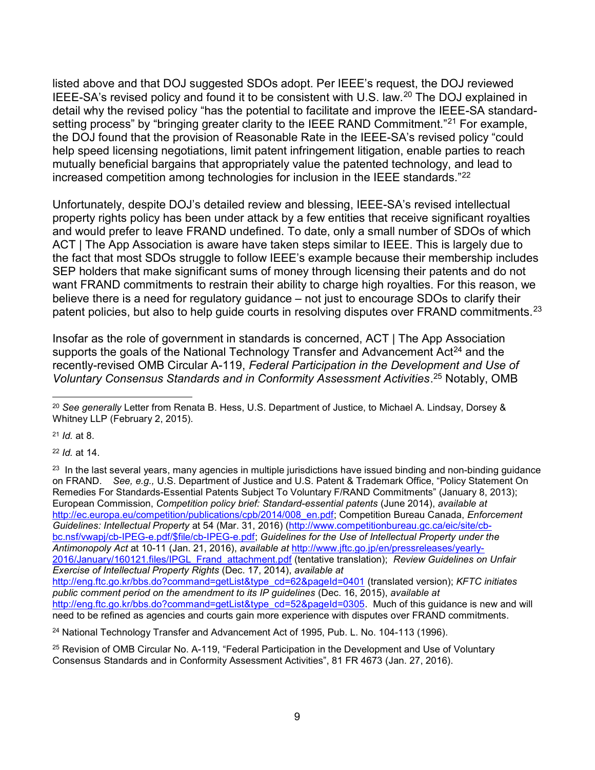listed above and that DOJ suggested SDOs adopt. Per IEEE's request, the DOJ reviewed IEEE-SA's revised policy and found it to be consistent with U.S. law.<sup>20</sup> The DOJ explained in detail why the revised policy "has the potential to facilitate and improve the IEEE-SA standardsetting process" by "bringing greater clarity to the IEEE RAND Commitment."<sup>21</sup> For example, the DOJ found that the provision of Reasonable Rate in the IEEE-SA's revised policy "could help speed licensing negotiations, limit patent infringement litigation, enable parties to reach mutually beneficial bargains that appropriately value the patented technology, and lead to increased competition among technologies for inclusion in the IEEE standards."<sup>22</sup>

Unfortunately, despite DOJ's detailed review and blessing, IEEE-SA's revised intellectual property rights policy has been under attack by a few entities that receive significant royalties and would prefer to leave FRAND undefined. To date, only a small number of SDOs of which ACT | The App Association is aware have taken steps similar to IEEE. This is largely due to the fact that most SDOs struggle to follow IEEE's example because their membership includes SEP holders that make significant sums of money through licensing their patents and do not want FRAND commitments to restrain their ability to charge high royalties. For this reason, we believe there is a need for regulatory guidance – not just to encourage SDOs to clarify their patent policies, but also to help guide courts in resolving disputes over FRAND commitments.<sup>23</sup>

Insofar as the role of government in standards is concerned, ACT | The App Association supports the goals of the National Technology Transfer and Advancement  $Act^{24}$  and the recently-revised OMB Circular A-119, Federal Participation in the Development and Use of Voluntary Consensus Standards and in Conformity Assessment Activities.<sup>25</sup> Notably, OMB

 $21$  *Id.* at 8.

 $\overline{a}$ 

<sup>22</sup> Id. at 14.

<sup>&</sup>lt;sup>20</sup> See generally Letter from Renata B. Hess, U.S. Department of Justice, to Michael A. Lindsay, Dorsey & Whitney LLP (February 2, 2015).

 $23$  In the last several years, many agencies in multiple jurisdictions have issued binding and non-binding quidance on FRAND. See, e.g., U.S. Department of Justice and U.S. Patent & Trademark Office, "Policy Statement On Remedies For Standards-Essential Patents Subject To Voluntary F/RAND Commitments" (January 8, 2013); European Commission, Competition policy brief: Standard-essential patents (June 2014), available at http://ec.europa.eu/competition/publications/cpb/2014/008\_en.pdf; Competition Bureau Canada, Enforcement Guidelines: Intellectual Property at 54 (Mar. 31, 2016) (http://www.competitionbureau.gc.ca/eic/site/cbbc.nsf/vwapj/cb-IPEG-e.pdf/\$file/cb-IPEG-e.pdf; Guidelines for the Use of Intellectual Property under the Antimonopoly Act at 10-11 (Jan. 21, 2016), available at http://www.jftc.go.jp/en/pressreleases/yearly-2016/January/160121.files/IPGL\_Frand\_attachment.pdf (tentative translation); Review Guidelines on Unfair Exercise of Intellectual Property Rights (Dec. 17, 2014), available at http://eng.ftc.go.kr/bbs.do?command=getList&type\_cd=62&pageId=0401 (translated version); KFTC initiates public comment period on the amendment to its IP guidelines (Dec. 16, 2015), available at http://eng.ftc.go.kr/bbs.do?command=getList&type\_cd=52&pageId=0305. Much of this guidance is new and will need to be refined as agencies and courts gain more experience with disputes over FRAND commitments.

<sup>&</sup>lt;sup>24</sup> National Technology Transfer and Advancement Act of 1995, Pub. L. No. 104-113 (1996).

<sup>25</sup> Revision of OMB Circular No. A-119, "Federal Participation in the Development and Use of Voluntary Consensus Standards and in Conformity Assessment Activities", 81 FR 4673 (Jan. 27, 2016).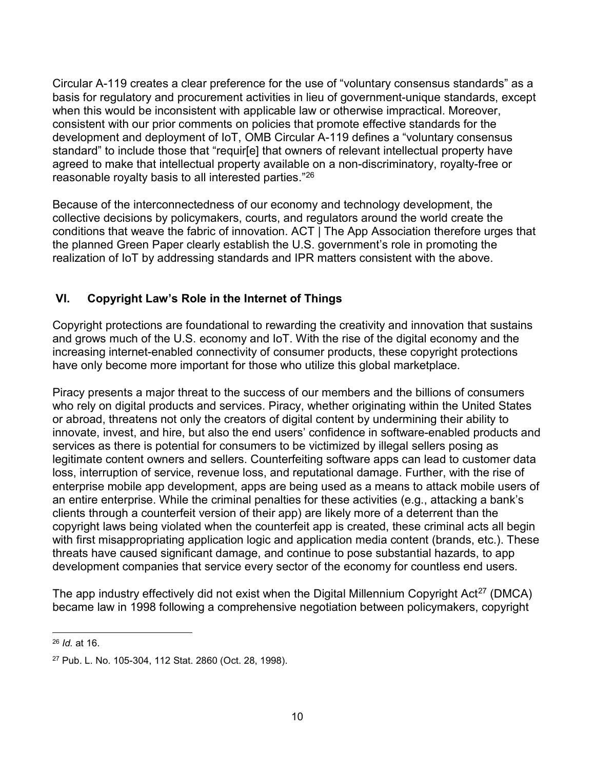Circular A-119 creates a clear preference for the use of "voluntary consensus standards" as a basis for regulatory and procurement activities in lieu of government-unique standards, except when this would be inconsistent with applicable law or otherwise impractical. Moreover, consistent with our prior comments on policies that promote effective standards for the development and deployment of IoT, OMB Circular A-119 defines a "voluntary consensus standard" to include those that "requir[e] that owners of relevant intellectual property have agreed to make that intellectual property available on a non-discriminatory, royalty-free or reasonable royalty basis to all interested parties."<sup>26</sup>

Because of the interconnectedness of our economy and technology development, the collective decisions by policymakers, courts, and regulators around the world create the conditions that weave the fabric of innovation. ACT | The App Association therefore urges that the planned Green Paper clearly establish the U.S. government's role in promoting the realization of IoT by addressing standards and IPR matters consistent with the above.

## VI. Copyright Law's Role in the Internet of Things

Copyright protections are foundational to rewarding the creativity and innovation that sustains and grows much of the U.S. economy and IoT. With the rise of the digital economy and the increasing internet-enabled connectivity of consumer products, these copyright protections have only become more important for those who utilize this global marketplace.

Piracy presents a major threat to the success of our members and the billions of consumers who rely on digital products and services. Piracy, whether originating within the United States or abroad, threatens not only the creators of digital content by undermining their ability to innovate, invest, and hire, but also the end users' confidence in software-enabled products and services as there is potential for consumers to be victimized by illegal sellers posing as legitimate content owners and sellers. Counterfeiting software apps can lead to customer data loss, interruption of service, revenue loss, and reputational damage. Further, with the rise of enterprise mobile app development, apps are being used as a means to attack mobile users of an entire enterprise. While the criminal penalties for these activities (e.g., attacking a bank's clients through a counterfeit version of their app) are likely more of a deterrent than the copyright laws being violated when the counterfeit app is created, these criminal acts all begin with first misappropriating application logic and application media content (brands, etc.). These threats have caused significant damage, and continue to pose substantial hazards, to app development companies that service every sector of the economy for countless end users.

The app industry effectively did not exist when the Digital Millennium Copyright Act<sup>27</sup> (DMCA) became law in 1998 following a comprehensive negotiation between policymakers, copyright

 $\overline{a}$ <sup>26</sup> Id. at 16.

<sup>27</sup> Pub. L. No. 105-304, 112 Stat. 2860 (Oct. 28, 1998).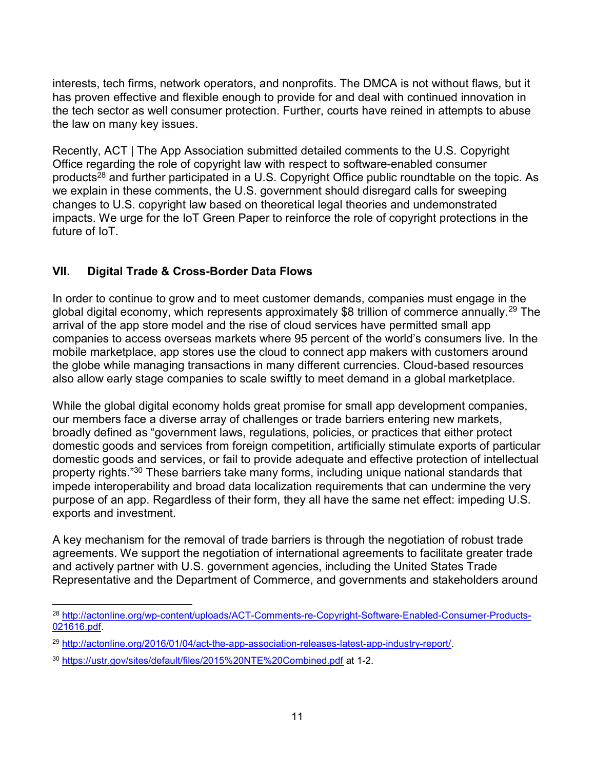interests, tech firms, network operators, and nonprofits. The DMCA is not without flaws, but it has proven effective and flexible enough to provide for and deal with continued innovation in the tech sector as well consumer protection. Further, courts have reined in attempts to abuse the law on many key issues.

Recently, ACT | The App Association submitted detailed comments to the U.S. Copyright Office regarding the role of copyright law with respect to software-enabled consumer products<sup>28</sup> and further participated in a U.S. Copyright Office public roundtable on the topic. As we explain in these comments, the U.S. government should disregard calls for sweeping changes to U.S. copyright law based on theoretical legal theories and undemonstrated impacts. We urge for the IoT Green Paper to reinforce the role of copyright protections in the future of IoT.

## VII. Digital Trade & Cross-Border Data Flows

In order to continue to grow and to meet customer demands, companies must engage in the global digital economy, which represents approximately \$8 trillion of commerce annually.<sup>29</sup> The arrival of the app store model and the rise of cloud services have permitted small app companies to access overseas markets where 95 percent of the world's consumers live. In the mobile marketplace, app stores use the cloud to connect app makers with customers around the globe while managing transactions in many different currencies. Cloud-based resources also allow early stage companies to scale swiftly to meet demand in a global marketplace.

While the global digital economy holds great promise for small app development companies, our members face a diverse array of challenges or trade barriers entering new markets, broadly defined as "government laws, regulations, policies, or practices that either protect domestic goods and services from foreign competition, artificially stimulate exports of particular domestic goods and services, or fail to provide adequate and effective protection of intellectual property rights."<sup>30</sup> These barriers take many forms, including unique national standards that impede interoperability and broad data localization requirements that can undermine the very purpose of an app. Regardless of their form, they all have the same net effect: impeding U.S. exports and investment.

A key mechanism for the removal of trade barriers is through the negotiation of robust trade agreements. We support the negotiation of international agreements to facilitate greater trade and actively partner with U.S. government agencies, including the United States Trade Representative and the Department of Commerce, and governments and stakeholders around

 $\overline{a}$ <sup>28</sup> http://actonline.org/wp-content/uploads/ACT-Comments-re-Copyright-Software-Enabled-Consumer-Products-021616.pdf.

<sup>29</sup> http://actonline.org/2016/01/04/act-the-app-association-releases-latest-app-industry-report/.

<sup>30</sup> https://ustr.gov/sites/default/files/2015%20NTE%20Combined.pdf at 1-2.